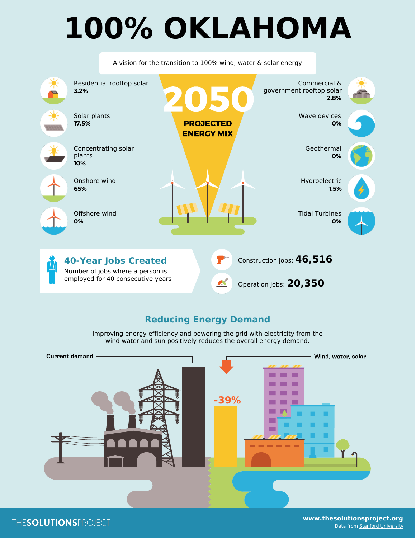## **100% OKLAHOMA**

|                       |                                                                 | A vision for the transition to 100% wind, water $\&$ solar energy |                  |                           |                             |  |
|-----------------------|-----------------------------------------------------------------|-------------------------------------------------------------------|------------------|---------------------------|-----------------------------|--|
| 3.2%                  | Residential rooftop solar                                       |                                                                   |                  | government rooftop solar  | Commercial &<br>2.8%        |  |
| Solar plants<br>17.5% |                                                                 | <b>PROJECTED</b><br><b>ENERGY MIX</b>                             |                  |                           | Wave devices<br>0%          |  |
| plants<br>10%         | Concentrating solar                                             |                                                                   |                  |                           | Geothermal<br>0%            |  |
| Onshore wind<br>65%   |                                                                 |                                                                   |                  |                           | Hydroelectric<br>1.5%       |  |
| Offshore wind<br>0%   |                                                                 |                                                                   |                  |                           | <b>Tidal Turbines</b><br>0% |  |
|                       | <b>40-Year Jobs Created</b><br>Number of jobs where a person is |                                                                   |                  | Construction jobs: 46,516 |                             |  |
|                       | employed for 40 consecutive years                               |                                                                   | $\blacktriangle$ | Operation jobs: 20,350    |                             |  |

## **Reducing Energy Demand**

Improving energy efficiency and powering the grid with electricity from the wind water and sun positively reduces the overall energy demand.